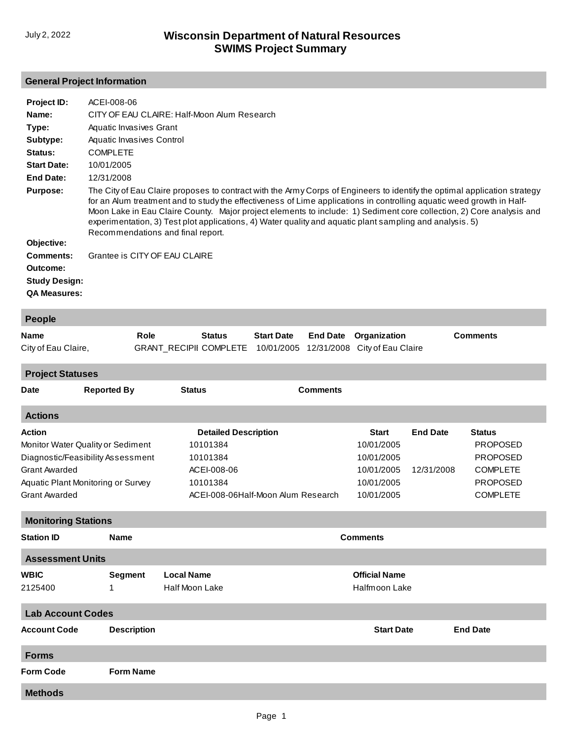## **General Project Information**

| Project ID:          | ACEI-008-06                                                                                                                                                                                                                                                                                                                                                                                                                                                                                                                 |
|----------------------|-----------------------------------------------------------------------------------------------------------------------------------------------------------------------------------------------------------------------------------------------------------------------------------------------------------------------------------------------------------------------------------------------------------------------------------------------------------------------------------------------------------------------------|
| Name:                | CITY OF EAU CLAIRE: Half-Moon Alum Research                                                                                                                                                                                                                                                                                                                                                                                                                                                                                 |
| Type:                | Aquatic Invasives Grant                                                                                                                                                                                                                                                                                                                                                                                                                                                                                                     |
| Subtype:             | Aquatic Invasives Control                                                                                                                                                                                                                                                                                                                                                                                                                                                                                                   |
| <b>Status:</b>       | <b>COMPLETE</b>                                                                                                                                                                                                                                                                                                                                                                                                                                                                                                             |
| <b>Start Date:</b>   | 10/01/2005                                                                                                                                                                                                                                                                                                                                                                                                                                                                                                                  |
| End Date:            | 12/31/2008                                                                                                                                                                                                                                                                                                                                                                                                                                                                                                                  |
| <b>Purpose:</b>      | The City of Eau Claire proposes to contract with the Army Corps of Engineers to identify the optimal application strategy<br>for an Alum treatment and to study the effectiveness of Lime applications in controlling aquatic weed growth in Half-<br>Moon Lake in Eau Claire County. Major project elements to include: 1) Sediment core collection, 2) Core analysis and<br>experimentation, 3) Test plot applications, 4) Water quality and aquatic plant sampling and analysis. 5)<br>Recommendations and final report. |
| Objective:           |                                                                                                                                                                                                                                                                                                                                                                                                                                                                                                                             |
| Comments:            | Grantee is CITY OF EAU CLAIRE                                                                                                                                                                                                                                                                                                                                                                                                                                                                                               |
| Outcome:             |                                                                                                                                                                                                                                                                                                                                                                                                                                                                                                                             |
| <b>Study Design:</b> |                                                                                                                                                                                                                                                                                                                                                                                                                                                                                                                             |
| <b>QA Measures:</b>  |                                                                                                                                                                                                                                                                                                                                                                                                                                                                                                                             |
| <b>People</b>        |                                                                                                                                                                                                                                                                                                                                                                                                                                                                                                                             |

| <b>TARA</b>         |      |               |                   |                                                                 |          |
|---------------------|------|---------------|-------------------|-----------------------------------------------------------------|----------|
| Name                | Role | <b>Status</b> | <b>Start Date</b> | <b>End Date</b> Organization                                    | Comments |
| City of Eau Claire, |      |               |                   | GRANT_RECIPII COMPLETE 10/01/2005 12/31/2008 City of Eau Claire |          |

**Project Statuses**

| <b>Date</b>                        | <b>Reported By</b> | <b>Status</b>                          | <b>Comments</b>                    |                      |                 |                 |
|------------------------------------|--------------------|----------------------------------------|------------------------------------|----------------------|-----------------|-----------------|
| <b>Actions</b>                     |                    |                                        |                                    |                      |                 |                 |
| <b>Action</b>                      |                    | <b>Detailed Description</b>            |                                    | <b>Start</b>         | <b>End Date</b> | <b>Status</b>   |
| Monitor Water Quality or Sediment  |                    | 10101384                               |                                    | 10/01/2005           |                 | <b>PROPOSED</b> |
| Diagnostic/Feasibility Assessment  |                    | 10101384                               |                                    | 10/01/2005           |                 | <b>PROPOSED</b> |
| <b>Grant Awarded</b>               |                    | ACEI-008-06                            |                                    | 10/01/2005           | 12/31/2008      | <b>COMPLETE</b> |
| Aquatic Plant Monitoring or Survey |                    | 10101384                               |                                    | 10/01/2005           |                 | <b>PROPOSED</b> |
| <b>Grant Awarded</b>               |                    |                                        | ACEI-008-06Half-Moon Alum Research | 10/01/2005           |                 | <b>COMPLETE</b> |
| <b>Monitoring Stations</b>         |                    |                                        |                                    |                      |                 |                 |
| <b>Station ID</b>                  | <b>Name</b>        | <b>Comments</b>                        |                                    |                      |                 |                 |
| <b>Assessment Units</b>            |                    |                                        |                                    |                      |                 |                 |
| <b>WBIC</b>                        | <b>Segment</b>     | <b>Local Name</b>                      |                                    | <b>Official Name</b> |                 |                 |
| 2125400                            | 1                  | <b>Half Moon Lake</b><br>Halfmoon Lake |                                    |                      |                 |                 |
| <b>Lab Account Codes</b>           |                    |                                        |                                    |                      |                 |                 |
| <b>Account Code</b>                | <b>Description</b> |                                        |                                    | <b>Start Date</b>    |                 | <b>End Date</b> |
| <b>Forms</b>                       |                    |                                        |                                    |                      |                 |                 |
| <b>Form Code</b>                   | <b>Form Name</b>   |                                        |                                    |                      |                 |                 |
| <b>Methods</b>                     |                    |                                        |                                    |                      |                 |                 |